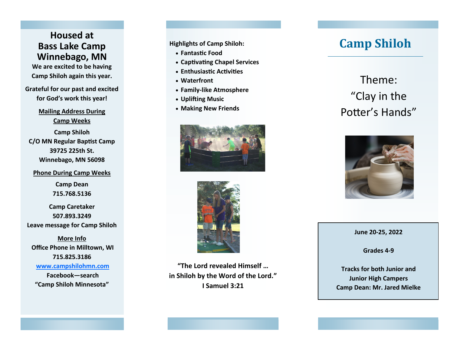## **Housed at Bass Lake Camp Winnebago, MN**

**We are excited to be having Camp Shiloh again this year.**

**Grateful for our past and excited for God 's work this year!**

> **Mailing Address During Camp Weeks**

**Camp Shiloh C/O MN Regular Baptist Camp 39725 225th St. Winnebago, MN 56098**

## **Phone During Camp Weeks**

**Camp Dean 715.768.5136**

**Camp Caretaker 507.893.3249 Leave message for Camp Shiloh**

**More Info Office Phone in Milltown, WI 715.825.3186 www.campshilohmn.com Facebook —search "Camp Shiloh Minnesota "**

**Highlights of Camp Shiloh:**

- **Fantastic Food**
- **Captivating Chapel Services**
- **Enthusiastic Activities**
- **Waterfront**
- **Family-like Atmosphere**
- **Uplifting Music**
- **Making New Friends**





**"The Lord revealed Himself … in Shiloh by the Word of the Lord. " I Samuel 3:21**

## **Camp Shiloh**

Theme: "Clay in the Potter 's Hands "



**June 20 -25, 2022**

**Grades 4 - 9**

**Tracks for both Junior and Junior High Campers Camp Dean: Mr. Jared Mielke**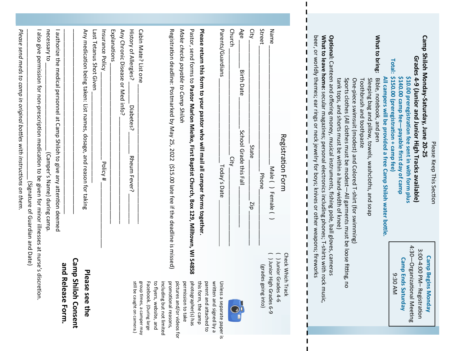|                                                                                    | (Signature of Guardian and Date)                                                                                                                                                                                                                                                                     |
|------------------------------------------------------------------------------------|------------------------------------------------------------------------------------------------------------------------------------------------------------------------------------------------------------------------------------------------------------------------------------------------------|
| etion.                                                                             | I also give permission for non-prescription medication to be given for minor illnesses at nurse's discr                                                                                                                                                                                              |
|                                                                                    | necessary to<br>(Camper's Name) during camp.                                                                                                                                                                                                                                                         |
| and Release Form.                                                                  | I authorize the medical personnel at Camp Shiloh to give any attention deemed                                                                                                                                                                                                                        |
| <b>Camp Shiloh Consent</b>                                                         |                                                                                                                                                                                                                                                                                                      |
| Plea<br>se see the                                                                 | Any medication being taken: List names,<br>dosage, and reason for taking                                                                                                                                                                                                                             |
|                                                                                    | Last Tetanus Shot Given                                                                                                                                                                                                                                                                              |
|                                                                                    | Insurance Policy<br>Policy #                                                                                                                                                                                                                                                                         |
|                                                                                    | Explanations                                                                                                                                                                                                                                                                                         |
|                                                                                    | Any Chronic Disease or Med info?                                                                                                                                                                                                                                                                     |
|                                                                                    | History of Allergies?<br>Diabetes?<br>Rheum Fever?                                                                                                                                                                                                                                                   |
| group times, a camper ma<br>still be caught on camera.)<br>oup times, a camper may | Cabin Mate? List one                                                                                                                                                                                                                                                                                 |
| Facebook. (During large<br>to flyers, website, and                                 |                                                                                                                                                                                                                                                                                                      |
| including but not limited<br>promotional reasons,                                  |                                                                                                                                                                                                                                                                                                      |
| ъ<br>ictures and/or videos for                                                     | Registration deadline: Postmarked by May 25, 2022 (\$15.00 late fee if the deadline is missed)                                                                                                                                                                                                       |
| permission to take                                                                 | Make checks payable to Camp Shiloh                                                                                                                                                                                                                                                                   |
| photographer(s) has<br>this form, the camp                                         | Pastor,<br>Please return this form to your pastor who will mail all camper forms together.<br>send forms to Pastor Marlon Mielke, First Baptist Church, Box 129, Milltown, WI 54858                                                                                                                  |
| parent and attached to<br>written and signed by a                                  |                                                                                                                                                                                                                                                                                                      |
| Unless a separate paper is                                                         | Parents/Guardians<br>Today's Date                                                                                                                                                                                                                                                                    |
|                                                                                    | Church<br>City                                                                                                                                                                                                                                                                                       |
|                                                                                    | Age<br><b>Birth Date</b><br>School Grade this Fall                                                                                                                                                                                                                                                   |
|                                                                                    | City<br>State<br>diz                                                                                                                                                                                                                                                                                 |
|                                                                                    | <b>Street</b><br><b>Phone</b>                                                                                                                                                                                                                                                                        |
| Junior High Grades 6-9<br>(grades going into)                                      |                                                                                                                                                                                                                                                                                                      |
| Junior Grades 4-6                                                                  | Name<br>Male ( ) Female (                                                                                                                                                                                                                                                                            |
| <b>Check Which</b><br>Track                                                        | <b>Registration Form</b>                                                                                                                                                                                                                                                                             |
|                                                                                    |                                                                                                                                                                                                                                                                                                      |
|                                                                                    |                                                                                                                                                                                                                                                                                                      |
|                                                                                    | befit or vortlary the summary hands or one change in the sequence or of the resource intervation is the sequence or or and the sequence or or the sequence or or the sequence or $\alpha$<br>What to leave home: secular magazines; personal electronics including phones; T-shirts with rock music, |
|                                                                                    | <b>Optional:</b> Canteen and offering money, musical instruments, fishing pole, ball gloves, cameras                                                                                                                                                                                                 |
|                                                                                    | tank tops, and shorts must be within a hand-width of knee)                                                                                                                                                                                                                                           |
|                                                                                    | Sports clothes (All clothes must be modest-All garments must be loose fitting, no<br>One-piece swimsuit (modest) and Colored T-shirt (for swimming)                                                                                                                                                  |
|                                                                                    | Toothbrush and toothpaste                                                                                                                                                                                                                                                                            |
|                                                                                    | Sleeping bag and pillow, towels, washcloths, and soap                                                                                                                                                                                                                                                |
|                                                                                    | What to bring:<br>Bible, notebook, and pen                                                                                                                                                                                                                                                           |
|                                                                                    | All campers will be provided a free Camp Shiloh water bottle                                                                                                                                                                                                                                         |
| 9:30<br>AM                                                                         | Total:<br>\$150.00 (preregistration + camp fee)                                                                                                                                                                                                                                                      |
| <b>Camp Ends Saturday</b>                                                          | \$140.00 camp fee-payable first day of camp<br>\$10.00 preregistration fee sent in with form plus                                                                                                                                                                                                    |
| $4:30-$<br>-Organizational Meeting                                                 | Grades 4-9 (Junior and Junior High Tracks available)                                                                                                                                                                                                                                                 |
| 3:00-4:00 PM- Registration                                                         | Camp Shiloh Monday-Saturday, June 20-25                                                                                                                                                                                                                                                              |
| <b>Camp Begins Monday</b>                                                          |                                                                                                                                                                                                                                                                                                      |
|                                                                                    | Please Keep This Section                                                                                                                                                                                                                                                                             |

I

I.